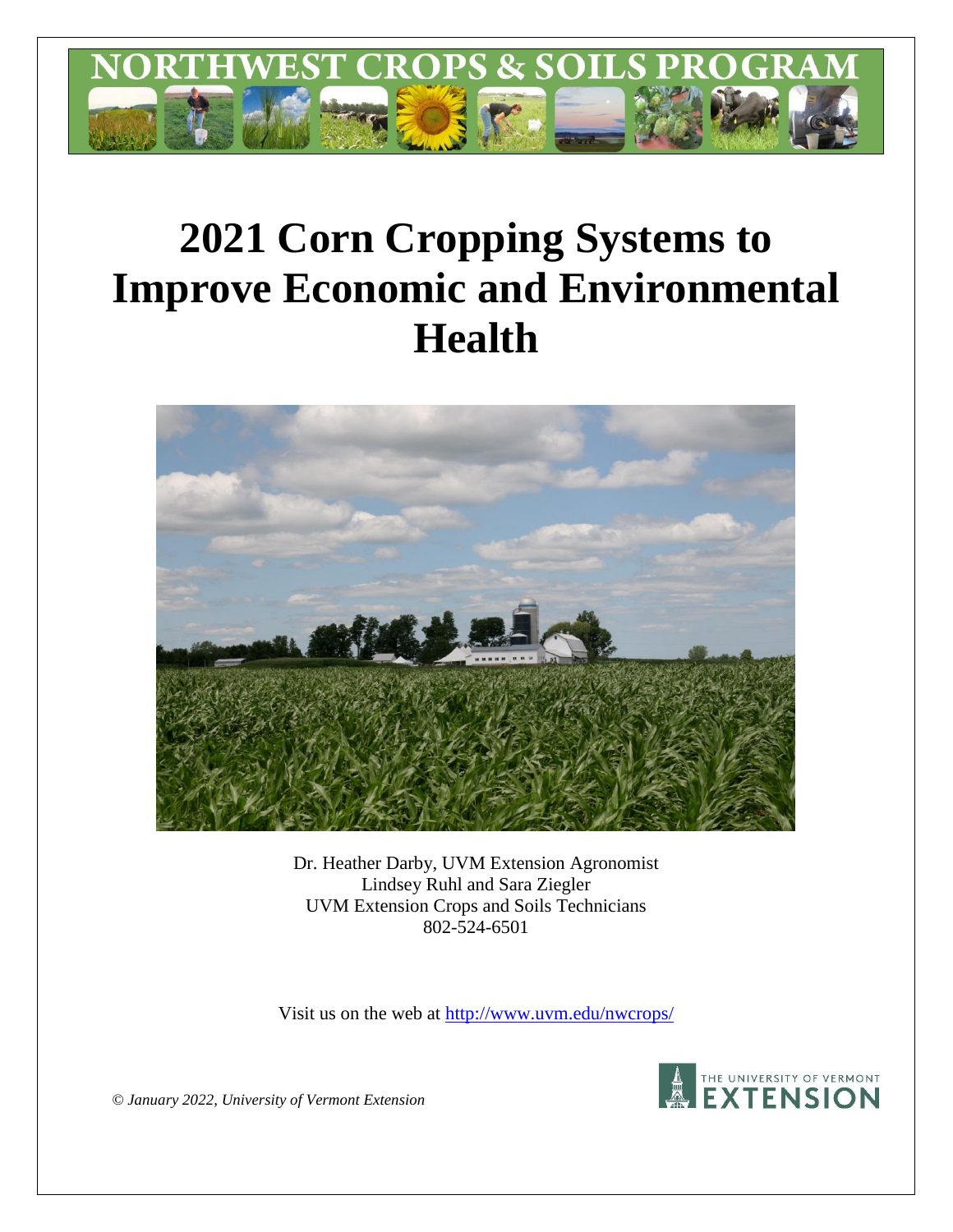

# **2021 Corn Cropping Systems to Improve Economic and Environmental Health**



Dr. Heather Darby, UVM Extension Agronomist Lindsey Ruhl and Sara Ziegler UVM Extension Crops and Soils Technicians 802-524-6501

Visit us on the web at [http://www.uvm.edu/nwcrops/](http://www.uvm.edu/nwcrops)



*© January 2022, University of Vermont Extension*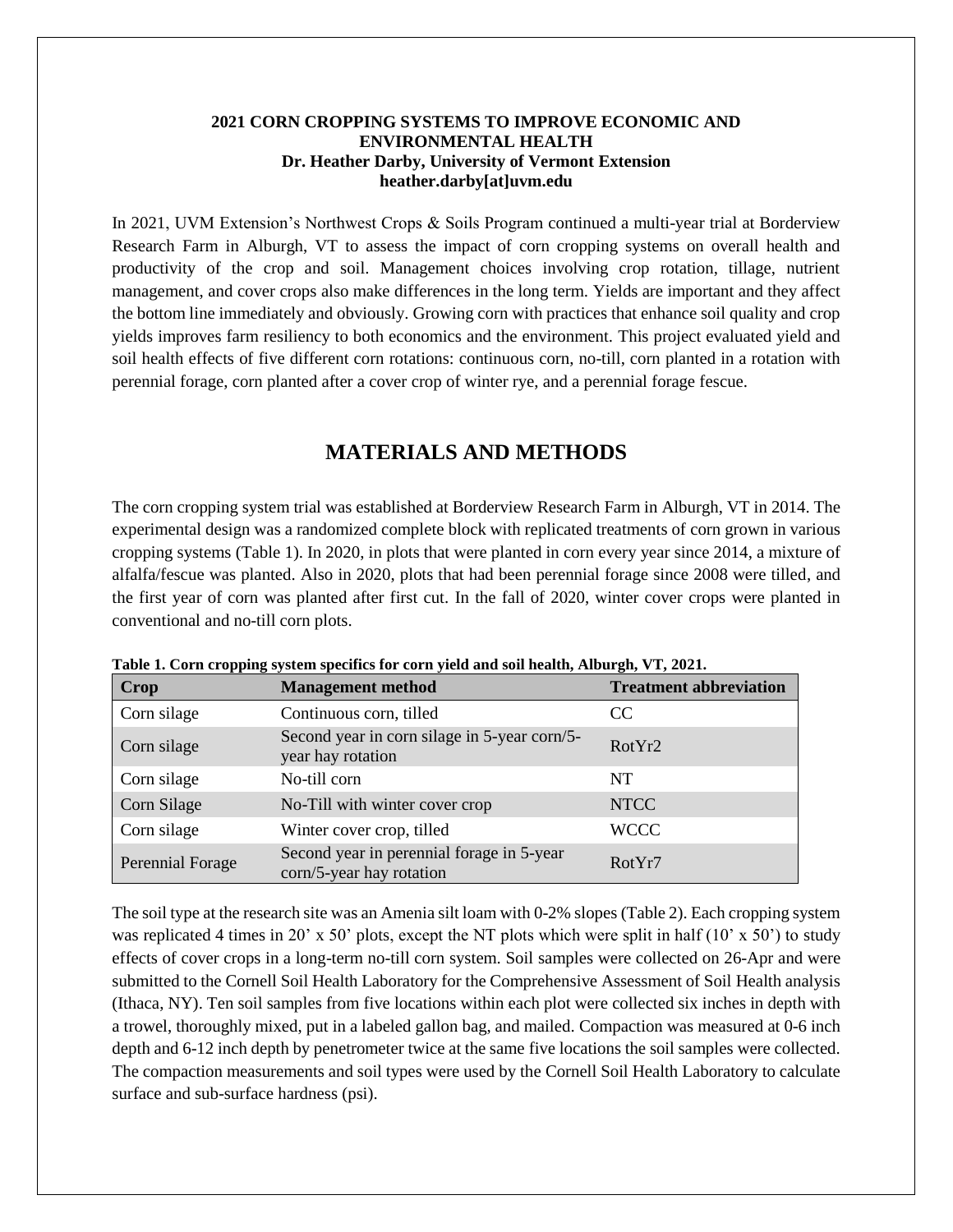## **2021 CORN CROPPING SYSTEMS TO IMPROVE ECONOMIC AND ENVIRONMENTAL HEALTH Dr. Heather Darby, University of Vermont Extension heather.darby[at]uvm.edu**

In 2021, UVM Extension's Northwest Crops & Soils Program continued a multi-year trial at Borderview Research Farm in Alburgh, VT to assess the impact of corn cropping systems on overall health and productivity of the crop and soil. Management choices involving crop rotation, tillage, nutrient management, and cover crops also make differences in the long term. Yields are important and they affect the bottom line immediately and obviously. Growing corn with practices that enhance soil quality and crop yields improves farm resiliency to both economics and the environment. This project evaluated yield and soil health effects of five different corn rotations: continuous corn, no-till, corn planted in a rotation with perennial forage, corn planted after a cover crop of winter rye, and a perennial forage fescue.

# **MATERIALS AND METHODS**

The corn cropping system trial was established at Borderview Research Farm in Alburgh, VT in 2014. The experimental design was a randomized complete block with replicated treatments of corn grown in various cropping systems (Table 1). In 2020, in plots that were planted in corn every year since 2014, a mixture of alfalfa/fescue was planted. Also in 2020, plots that had been perennial forage since 2008 were tilled, and the first year of corn was planted after first cut. In the fall of 2020, winter cover crops were planted in conventional and no-till corn plots.

| <b>Crop</b>      | <b>Management method</b>                                              | <b>Treatment abbreviation</b> |
|------------------|-----------------------------------------------------------------------|-------------------------------|
| Corn silage      | Continuous corn, tilled                                               | CC.                           |
| Corn silage      | Second year in corn silage in 5-year corn/5-<br>year hay rotation     | RotYr2                        |
| Corn silage      | No-till corn                                                          | NT                            |
| Corn Silage      | No-Till with winter cover crop                                        | <b>NTCC</b>                   |
| Corn silage      | Winter cover crop, tilled                                             | <b>WCCC</b>                   |
| Perennial Forage | Second year in perennial forage in 5-year<br>corn/5-year hay rotation | RotYr7                        |

**Table 1. Corn cropping system specifics for corn yield and soil health, Alburgh, VT, 2021.**

The soil type at the research site was an Amenia silt loam with 0-2% slopes (Table 2). Each cropping system was replicated 4 times in 20' x 50' plots, except the NT plots which were split in half  $(10' \times 50')$  to study effects of cover crops in a long-term no-till corn system. Soil samples were collected on 26-Apr and were submitted to the Cornell Soil Health Laboratory for the Comprehensive Assessment of Soil Health analysis (Ithaca, NY). Ten soil samples from five locations within each plot were collected six inches in depth with a trowel, thoroughly mixed, put in a labeled gallon bag, and mailed. Compaction was measured at 0-6 inch depth and 6-12 inch depth by penetrometer twice at the same five locations the soil samples were collected. The compaction measurements and soil types were used by the Cornell Soil Health Laboratory to calculate surface and sub-surface hardness (psi).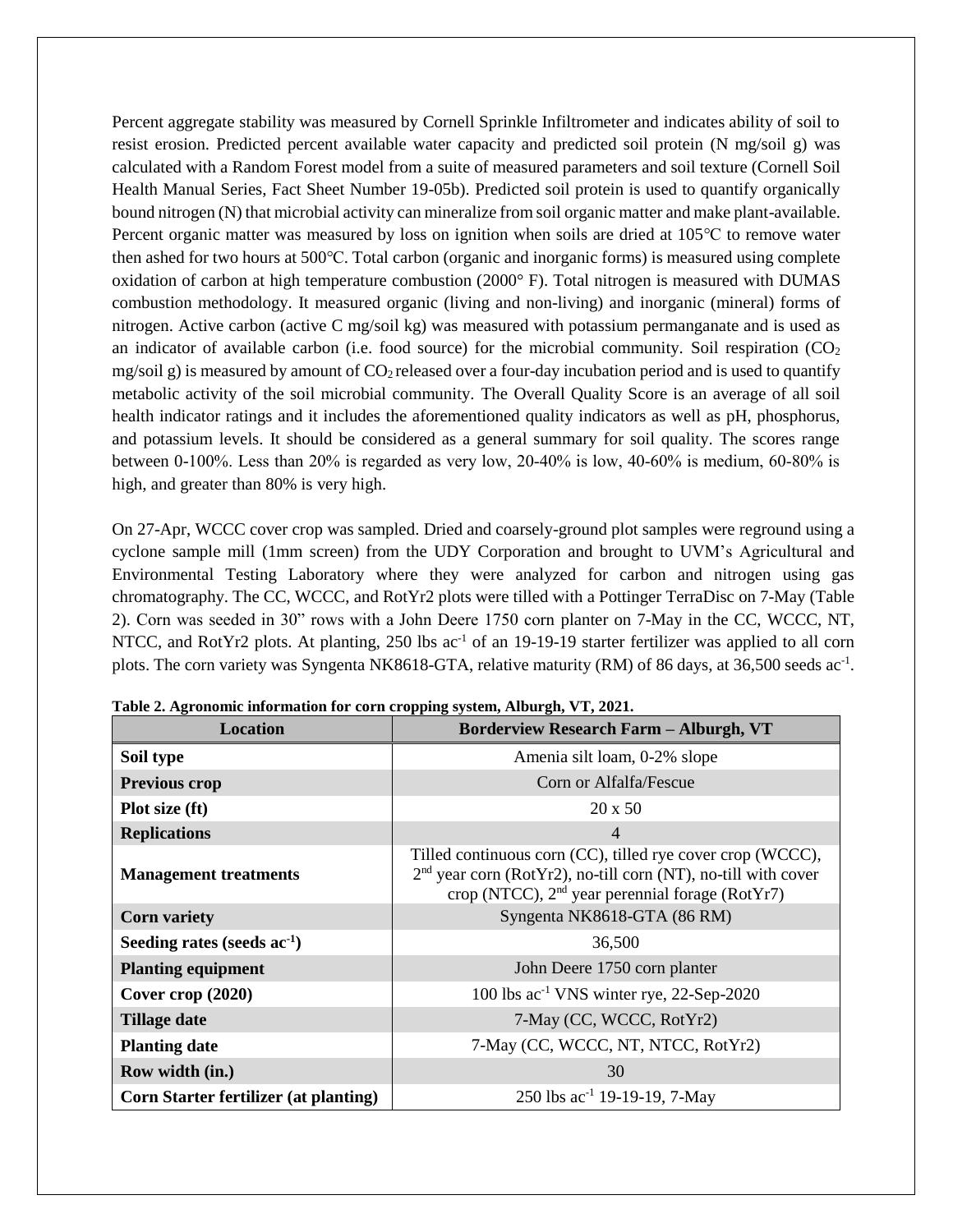Percent aggregate stability was measured by Cornell Sprinkle Infiltrometer and indicates ability of soil to resist erosion. Predicted percent available water capacity and predicted soil protein (N mg/soil g) was calculated with a Random Forest model from a suite of measured parameters and soil texture (Cornell Soil Health Manual Series, Fact Sheet Number 19-05b). Predicted soil protein is used to quantify organically bound nitrogen (N) that microbial activity can mineralize from soil organic matter and make plant-available. Percent organic matter was measured by loss on ignition when soils are dried at 105℃ to remove water then ashed for two hours at 500℃. Total carbon (organic and inorganic forms) is measured using complete oxidation of carbon at high temperature combustion (2000° F). Total nitrogen is measured with DUMAS combustion methodology. It measured organic (living and non-living) and inorganic (mineral) forms of nitrogen. Active carbon (active C mg/soil kg) was measured with potassium permanganate and is used as an indicator of available carbon (i.e. food source) for the microbial community. Soil respiration  $(CO<sub>2</sub>)$ mg/soil g) is measured by amount of  $CO<sub>2</sub>$  released over a four-day incubation period and is used to quantify metabolic activity of the soil microbial community. The Overall Quality Score is an average of all soil health indicator ratings and it includes the aforementioned quality indicators as well as pH, phosphorus, and potassium levels. It should be considered as a general summary for soil quality. The scores range between 0-100%. Less than 20% is regarded as very low, 20-40% is low, 40-60% is medium, 60-80% is high, and greater than 80% is very high.

On 27-Apr, WCCC cover crop was sampled. Dried and coarsely-ground plot samples were reground using a cyclone sample mill (1mm screen) from the UDY Corporation and brought to UVM's Agricultural and Environmental Testing Laboratory where they were analyzed for carbon and nitrogen using gas chromatography. The CC, WCCC, and RotYr2 plots were tilled with a Pottinger TerraDisc on 7-May (Table 2). Corn was seeded in 30" rows with a John Deere 1750 corn planter on 7-May in the CC, WCCC, NT, NTCC, and RotYr2 plots. At planting, 250 lbs ac<sup>-1</sup> of an 19-19-19 starter fertilizer was applied to all corn plots. The corn variety was Syngenta NK8618-GTA, relative maturity (RM) of 86 days, at 36,500 seeds ac<sup>-1</sup>.

| <b>Location</b>                              | <b>Borderview Research Farm - Alburgh, VT</b>                                                                                                                                                |
|----------------------------------------------|----------------------------------------------------------------------------------------------------------------------------------------------------------------------------------------------|
| Soil type                                    | Amenia silt loam, 0-2% slope                                                                                                                                                                 |
| <b>Previous crop</b>                         | Corn or Alfalfa/Fescue                                                                                                                                                                       |
| Plot size (ft)                               | $20 \times 50$                                                                                                                                                                               |
| <b>Replications</b>                          | $\overline{4}$                                                                                                                                                                               |
| <b>Management treatments</b>                 | Tilled continuous corn (CC), tilled rye cover crop (WCCC),<br>$2nd$ year corn (RotYr2), no-till corn (NT), no-till with cover<br>crop (NTCC), 2 <sup>nd</sup> year perennial forage (RotYr7) |
| <b>Corn variety</b>                          | Syngenta NK8618-GTA (86 RM)                                                                                                                                                                  |
| Seeding rates (seeds $ac^{-1}$ )             | 36,500                                                                                                                                                                                       |
| <b>Planting equipment</b>                    | John Deere 1750 corn planter                                                                                                                                                                 |
| Cover crop $(2020)$                          | 100 lbs ac <sup>-1</sup> VNS winter rye, 22-Sep-2020                                                                                                                                         |
| <b>Tillage date</b>                          | 7-May (CC, WCCC, RotYr2)                                                                                                                                                                     |
| <b>Planting date</b>                         | 7-May (CC, WCCC, NT, NTCC, RotYr2)                                                                                                                                                           |
| Row width (in.)                              | 30                                                                                                                                                                                           |
| <b>Corn Starter fertilizer (at planting)</b> | 250 lbs $ac^{-1}$ 19-19-19, 7-May                                                                                                                                                            |

**Table 2. Agronomic information for corn cropping system, Alburgh, VT, 2021.**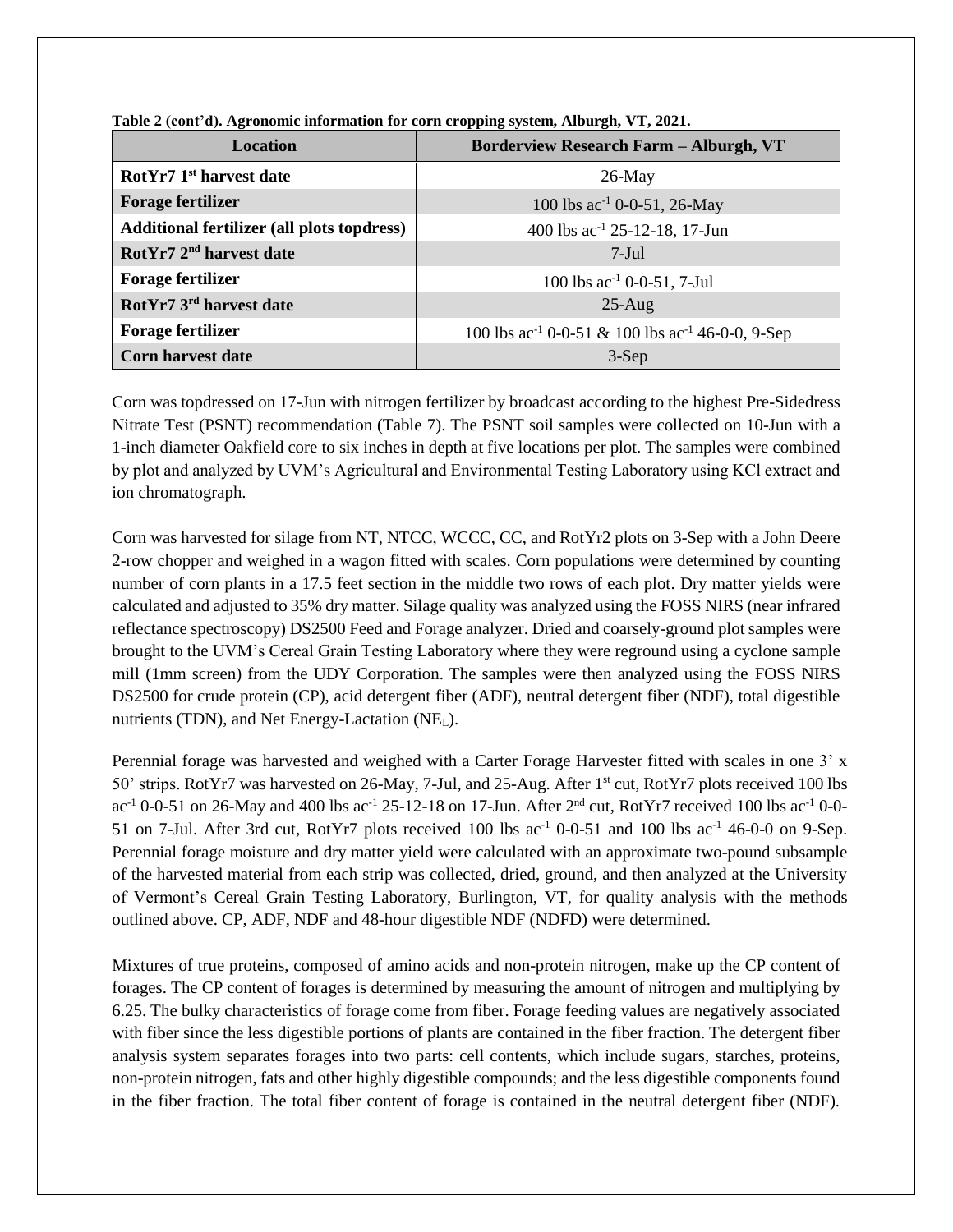| <b>Location</b>                                   | <b>Borderview Research Farm - Alburgh, VT</b>                            |
|---------------------------------------------------|--------------------------------------------------------------------------|
| RotYr7 1 <sup>st</sup> harvest date               | $26$ -May                                                                |
| <b>Forage fertilizer</b>                          | 100 lbs $ac^{-1}$ 0-0-51, 26-May                                         |
| <b>Additional fertilizer (all plots topdress)</b> | 400 lbs ac <sup>-1</sup> 25-12-18, 17-Jun                                |
| RotYr7 2 <sup>nd</sup> harvest date               | $7-Jul$                                                                  |
| <b>Forage fertilizer</b>                          | 100 lbs $ac^{-1}$ 0-0-51, 7-Jul                                          |
| RotYr7 3 <sup>rd</sup> harvest date               | $25-Aug$                                                                 |
| <b>Forage fertilizer</b>                          | 100 lbs ac <sup>-1</sup> 0-0-51 & 100 lbs ac <sup>-1</sup> 46-0-0, 9-Sep |
| <b>Corn harvest date</b>                          | $3-Sep$                                                                  |

**Table 2 (cont'd). Agronomic information for corn cropping system, Alburgh, VT, 2021.**

Corn was topdressed on 17-Jun with nitrogen fertilizer by broadcast according to the highest Pre-Sidedress Nitrate Test (PSNT) recommendation (Table 7). The PSNT soil samples were collected on 10-Jun with a 1-inch diameter Oakfield core to six inches in depth at five locations per plot. The samples were combined by plot and analyzed by UVM's Agricultural and Environmental Testing Laboratory using KCl extract and ion chromatograph.

Corn was harvested for silage from NT, NTCC, WCCC, CC, and RotYr2 plots on 3-Sep with a John Deere 2-row chopper and weighed in a wagon fitted with scales. Corn populations were determined by counting number of corn plants in a 17.5 feet section in the middle two rows of each plot. Dry matter yields were calculated and adjusted to 35% dry matter. Silage quality was analyzed using the FOSS NIRS (near infrared reflectance spectroscopy) DS2500 Feed and Forage analyzer. Dried and coarsely-ground plot samples were brought to the UVM's Cereal Grain Testing Laboratory where they were reground using a cyclone sample mill (1mm screen) from the UDY Corporation. The samples were then analyzed using the FOSS NIRS DS2500 for crude protein (CP), acid detergent fiber (ADF), neutral detergent fiber (NDF), total digestible nutrients (TDN), and Net Energy-Lactation (NEL).

Perennial forage was harvested and weighed with a Carter Forage Harvester fitted with scales in one 3' x 50' strips. RotYr7 was harvested on 26-May, 7-Jul, and 25-Aug. After 1st cut, RotYr7 plots received 100 lbs ac<sup>-1</sup> 0-0-51 on 26-May and 400 lbs ac<sup>-1</sup> 25-12-18 on 17-Jun. After 2<sup>nd</sup> cut, RotYr7 received 100 lbs ac<sup>-1</sup> 0-0-51 on 7-Jul. After 3rd cut, RotYr7 plots received 100 lbs  $ac^{-1}$  0-0-51 and 100 lbs  $ac^{-1}$  46-0-0 on 9-Sep. Perennial forage moisture and dry matter yield were calculated with an approximate two-pound subsample of the harvested material from each strip was collected, dried, ground, and then analyzed at the University of Vermont's Cereal Grain Testing Laboratory, Burlington, VT, for quality analysis with the methods outlined above. CP, ADF, NDF and 48-hour digestible NDF (NDFD) were determined.

Mixtures of true proteins, composed of amino acids and non-protein nitrogen, make up the CP content of forages. The CP content of forages is determined by measuring the amount of nitrogen and multiplying by 6.25. The bulky characteristics of forage come from fiber. Forage feeding values are negatively associated with fiber since the less digestible portions of plants are contained in the fiber fraction. The detergent fiber analysis system separates forages into two parts: cell contents, which include sugars, starches, proteins, non-protein nitrogen, fats and other highly digestible compounds; and the less digestible components found in the fiber fraction. The total fiber content of forage is contained in the neutral detergent fiber (NDF).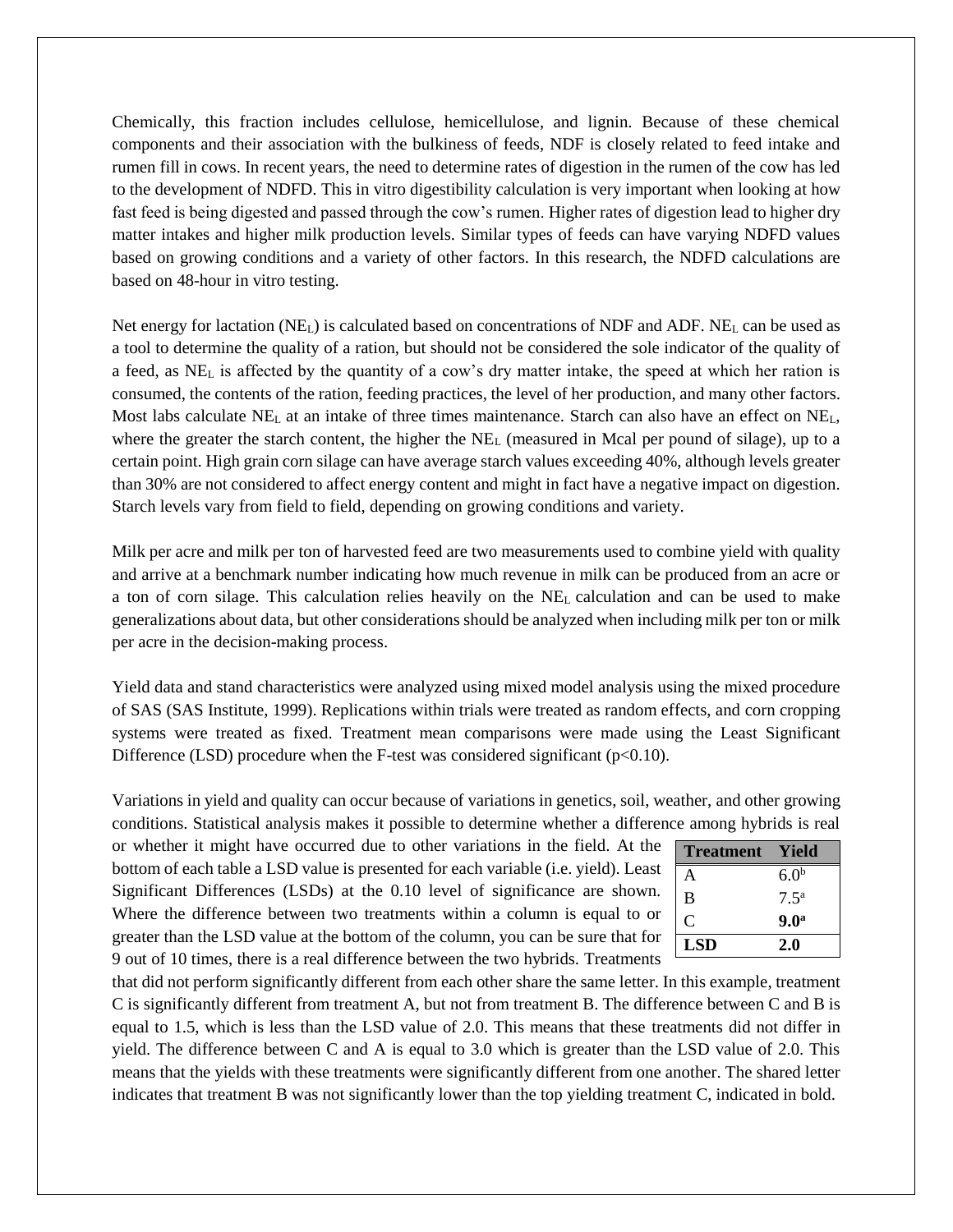Chemically, this fraction includes cellulose, hemicellulose, and lignin. Because of these chemical components and their association with the bulkiness of feeds, NDF is closely related to feed intake and rumen fill in cows. In recent years, the need to determine rates of digestion in the rumen of the cow has led to the development of NDFD. This in vitro digestibility calculation is very important when looking at how fast feed is being digested and passed through the cow's rumen. Higher rates of digestion lead to higher dry matter intakes and higher milk production levels. Similar types of feeds can have varying NDFD values based on growing conditions and a variety of other factors. In this research, the NDFD calculations are based on 48-hour in vitro testing.

Net energy for lactation (NEL) is calculated based on concentrations of NDF and ADF. NE<sup>L</sup> can be used as a tool to determine the quality of a ration, but should not be considered the sole indicator of the quality of a feed, as NE<sup>L</sup> is affected by the quantity of a cow's dry matter intake, the speed at which her ration is consumed, the contents of the ration, feeding practices, the level of her production, and many other factors. Most labs calculate  $NE<sub>L</sub>$  at an intake of three times maintenance. Starch can also have an effect on  $NE<sub>L</sub>$ , where the greater the starch content, the higher the  $NE<sub>L</sub>$  (measured in Mcal per pound of silage), up to a certain point. High grain corn silage can have average starch values exceeding 40%, although levels greater than 30% are not considered to affect energy content and might in fact have a negative impact on digestion. Starch levels vary from field to field, depending on growing conditions and variety.

Milk per acre and milk per ton of harvested feed are two measurements used to combine yield with quality and arrive at a benchmark number indicating how much revenue in milk can be produced from an acre or a ton of corn silage. This calculation relies heavily on the NE<sup>L</sup> calculation and can be used to make generalizations about data, but other considerations should be analyzed when including milk per ton or milk per acre in the decision-making process.

Yield data and stand characteristics were analyzed using mixed model analysis using the mixed procedure of SAS (SAS Institute, 1999). Replications within trials were treated as random effects, and corn cropping systems were treated as fixed. Treatment mean comparisons were made using the Least Significant Difference (LSD) procedure when the F-test was considered significant ( $p<0.10$ ).

Variations in yield and quality can occur because of variations in genetics, soil, weather, and other growing conditions. Statistical analysis makes it possible to determine whether a difference among hybrids is real

or whether it might have occurred due to other variations in the field. At the bottom of each table a LSD value is presented for each variable (i.e. yield). Least Significant Differences (LSDs) at the 0.10 level of significance are shown. Where the difference between two treatments within a column is equal to or greater than the LSD value at the bottom of the column, you can be sure that for 9 out of 10 times, there is a real difference between the two hybrids. Treatments

| <b>Treatment</b> | Yield            |
|------------------|------------------|
| A                | 6.0 <sup>b</sup> |
| B                | $7.5^{\rm a}$    |
| C                | 9.0 <sup>a</sup> |
| <b>LSD</b>       | 2.0              |

that did not perform significantly different from each other share the same letter. In this example, treatment C is significantly different from treatment A, but not from treatment B. The difference between C and B is equal to 1.5, which is less than the LSD value of 2.0. This means that these treatments did not differ in yield. The difference between C and A is equal to 3.0 which is greater than the LSD value of 2.0. This means that the yields with these treatments were significantly different from one another. The shared letter indicates that treatment B was not significantly lower than the top yielding treatment C, indicated in bold.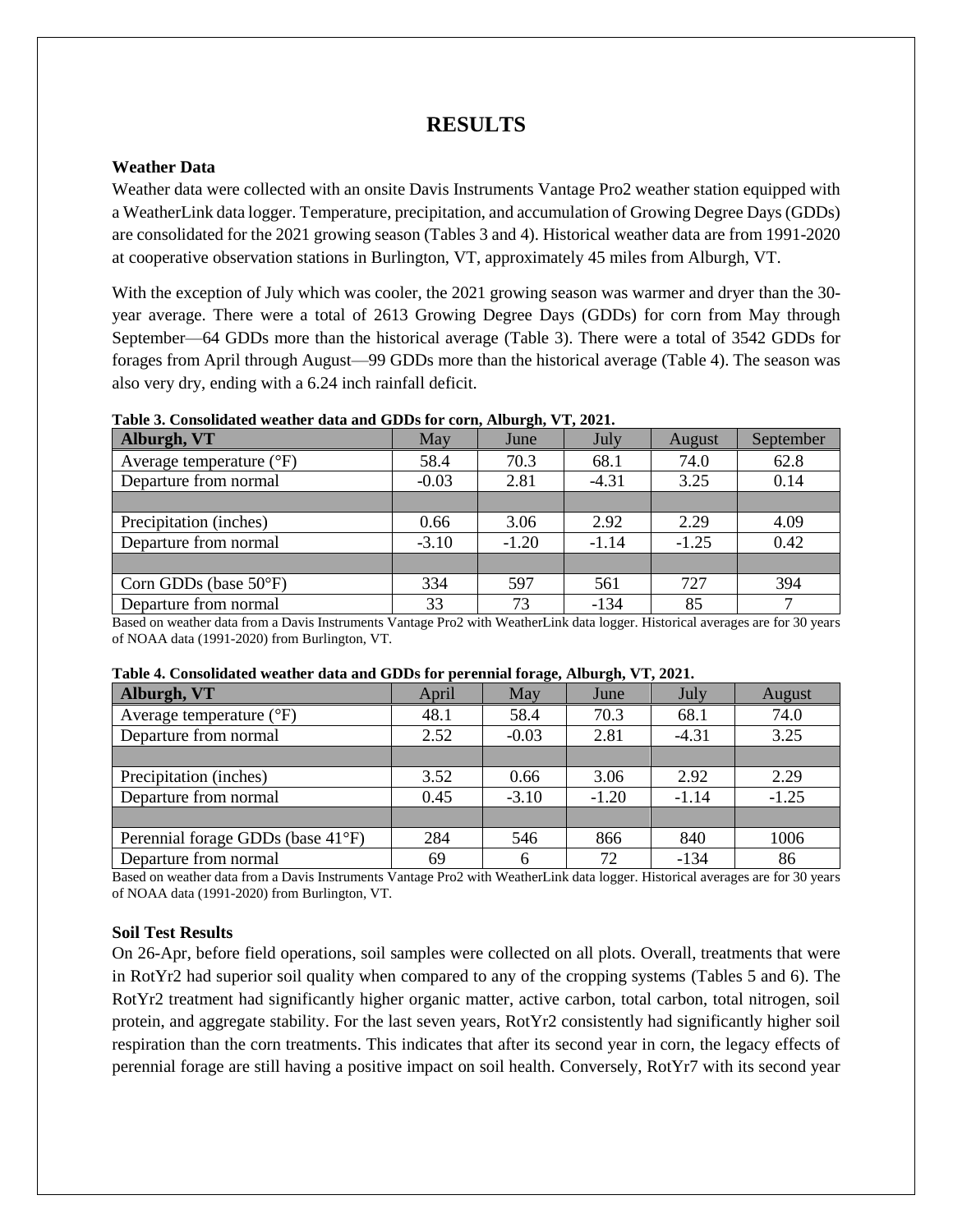# **RESULTS**

## **Weather Data**

Weather data were collected with an onsite Davis Instruments Vantage Pro2 weather station equipped with a WeatherLink data logger. Temperature, precipitation, and accumulation of Growing Degree Days (GDDs) are consolidated for the 2021 growing season (Tables 3 and 4). Historical weather data are from 1991-2020 at cooperative observation stations in Burlington, VT, approximately 45 miles from Alburgh, VT.

With the exception of July which was cooler, the 2021 growing season was warmer and dryer than the 30year average. There were a total of 2613 Growing Degree Days (GDDs) for corn from May through September—64 GDDs more than the historical average (Table 3). There were a total of 3542 GDDs for forages from April through August—99 GDDs more than the historical average (Table 4). The season was also very dry, ending with a 6.24 inch rainfall deficit.

| Alburgh, VT                       | May     | $\bullet$<br>June | July    | August  | September |
|-----------------------------------|---------|-------------------|---------|---------|-----------|
| Average temperature $(^{\circ}F)$ | 58.4    | 70.3              | 68.1    | 74.0    | 62.8      |
| Departure from normal             | $-0.03$ | 2.81              | $-4.31$ | 3.25    | 0.14      |
|                                   |         |                   |         |         |           |
| Precipitation (inches)            | 0.66    | 3.06              | 2.92    | 2.29    | 4.09      |
| Departure from normal             | $-3.10$ | $-1.20$           | $-1.14$ | $-1.25$ | 0.42      |
|                                   |         |                   |         |         |           |
| Corn GDDs (base $50^{\circ}F$ )   | 334     | 597               | 561     | 727     | 394       |
| Departure from normal             | 33      | 73                | $-134$  | 85      |           |

#### **Table 3. Consolidated weather data and GDDs for corn, Alburgh, VT, 2021.**

Based on weather data from a Davis Instruments Vantage Pro2 with WeatherLink data logger. Historical averages are for 30 years of NOAA data (1991-2020) from Burlington, VT.

| TROIC II CONSONANCA # CAUNT GARA ANA OD DS IOI PEI CHINAI IOI ALCEI INOMENI, I I I TOTIL |       |         |         |         |         |  |
|------------------------------------------------------------------------------------------|-------|---------|---------|---------|---------|--|
| Alburgh, VT                                                                              | April | May     | June    | July    | August  |  |
| Average temperature $({}^{\circ}F)$                                                      | 48.1  | 58.4    | 70.3    | 68.1    | 74.0    |  |
| Departure from normal                                                                    | 2.52  | $-0.03$ | 2.81    | $-4.31$ | 3.25    |  |
|                                                                                          |       |         |         |         |         |  |
| Precipitation (inches)                                                                   | 3.52  | 0.66    | 3.06    | 2.92    | 2.29    |  |
| Departure from normal                                                                    | 0.45  | $-3.10$ | $-1.20$ | $-1.14$ | $-1.25$ |  |
|                                                                                          |       |         |         |         |         |  |
| Perennial forage GDDs (base 41°F)                                                        | 284   | 546     | 866     | 840     | 1006    |  |
| Departure from normal                                                                    | 69    | 6       | 72      | $-134$  | 86      |  |

#### **Table 4. Consolidated weather data and GDDs for perennial forage, Alburgh, VT, 2021.**

Based on weather data from a Davis Instruments Vantage Pro2 with WeatherLink data logger. Historical averages are for 30 years of NOAA data (1991-2020) from Burlington, VT.

### **Soil Test Results**

On 26-Apr, before field operations, soil samples were collected on all plots. Overall, treatments that were in RotYr2 had superior soil quality when compared to any of the cropping systems (Tables 5 and 6). The RotYr2 treatment had significantly higher organic matter, active carbon, total carbon, total nitrogen, soil protein, and aggregate stability. For the last seven years, RotYr2 consistently had significantly higher soil respiration than the corn treatments. This indicates that after its second year in corn, the legacy effects of perennial forage are still having a positive impact on soil health. Conversely, RotYr7 with its second year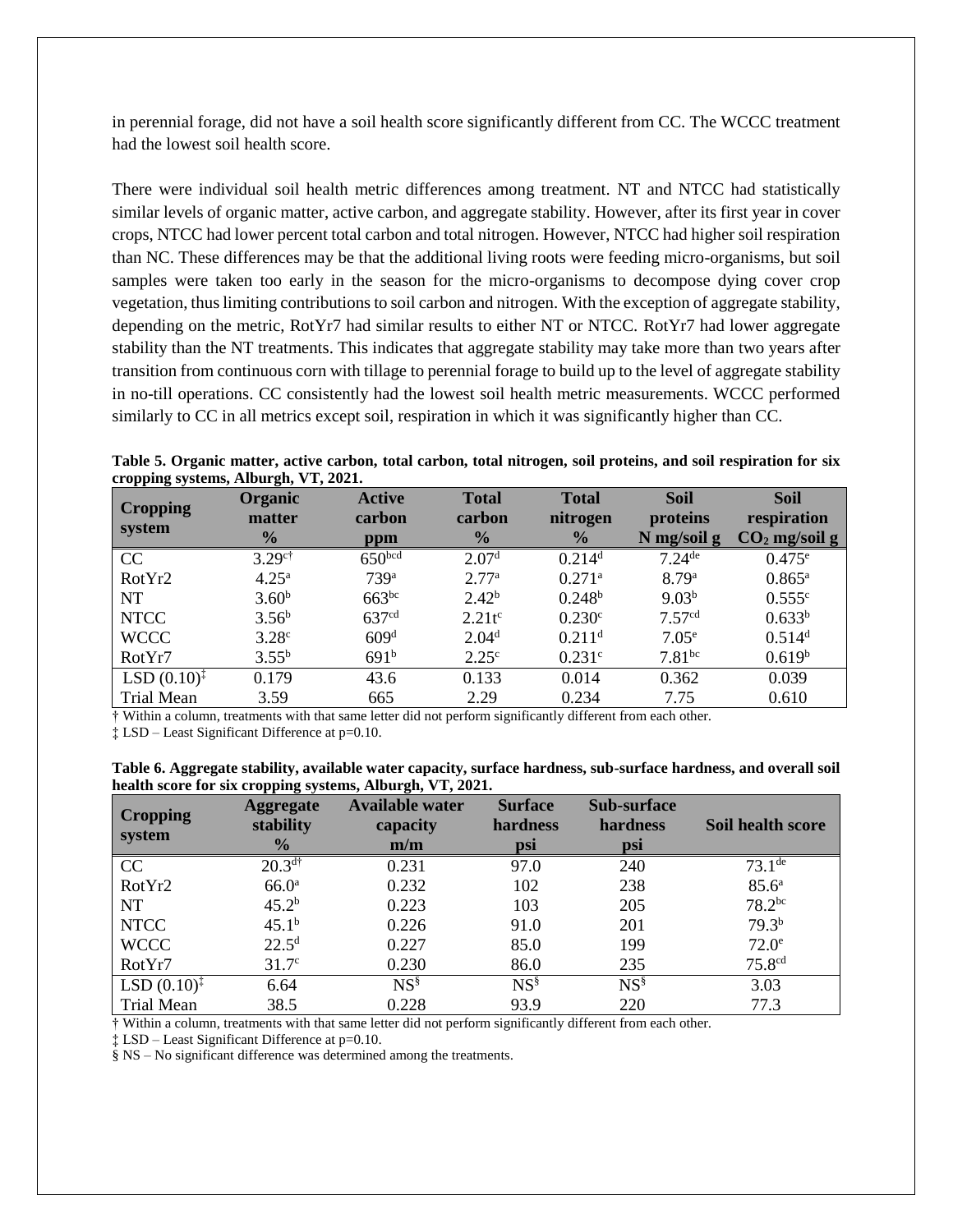in perennial forage, did not have a soil health score significantly different from CC. The WCCC treatment had the lowest soil health score.

There were individual soil health metric differences among treatment. NT and NTCC had statistically similar levels of organic matter, active carbon, and aggregate stability. However, after its first year in cover crops, NTCC had lower percent total carbon and total nitrogen. However, NTCC had higher soil respiration than NC. These differences may be that the additional living roots were feeding micro-organisms, but soil samples were taken too early in the season for the micro-organisms to decompose dying cover crop vegetation, thus limiting contributions to soil carbon and nitrogen. With the exception of aggregate stability, depending on the metric, RotYr7 had similar results to either NT or NTCC. RotYr7 had lower aggregate stability than the NT treatments. This indicates that aggregate stability may take more than two years after transition from continuous corn with tillage to perennial forage to build up to the level of aggregate stability in no-till operations. CC consistently had the lowest soil health metric measurements. WCCC performed similarly to CC in all metrics except soil, respiration in which it was significantly higher than CC.

|                                      |  |  |  | Table 5. Organic matter, active carbon, total carbon, total nitrogen, soil proteins, and soil respiration for six |  |  |  |
|--------------------------------------|--|--|--|-------------------------------------------------------------------------------------------------------------------|--|--|--|
| cropping systems, Alburgh, VT, 2021. |  |  |  |                                                                                                                   |  |  |  |

| <b>Cropping</b><br>system | <b>Organic</b><br>matter | <b>Active</b><br>carbon | <b>Total</b><br>carbon | <b>Total</b><br>nitrogen | <b>Soil</b><br>proteins | <b>Soil</b><br>respiration |
|---------------------------|--------------------------|-------------------------|------------------------|--------------------------|-------------------------|----------------------------|
|                           | $\frac{0}{0}$            | ppm                     | $\frac{0}{0}$          | $\frac{0}{0}$            | N mg/soil g             | $CO2$ mg/soil g            |
| CC                        | $3.29$ <sup>c†</sup>     | 650 <sup>bcd</sup>      | 2.07 <sup>d</sup>      | $0.214$ <sup>d</sup>     | $7.24$ <sup>de</sup>    | $0.475^{\rm e}$            |
| RotYr2                    | $4.25^{\rm a}$           | 739 <sup>a</sup>        | 2.77 <sup>a</sup>      | $0.271$ <sup>a</sup>     | 8.79 <sup>a</sup>       | $0.865^{\rm a}$            |
| <b>NT</b>                 | 3.60 <sup>b</sup>        | $663^{bc}$              | $2.42^{b}$             | $0.248^{b}$              | 9.03 <sup>b</sup>       | 0.555c                     |
| <b>NTCC</b>               | $3.56^b$                 | 637 <sup>cd</sup>       | $2.21t^c$              | $0.230$ c                | 7.57 <sup>cd</sup>      | $0.633^{b}$                |
| <b>WCCC</b>               | 3.28 <sup>c</sup>        | 609 <sup>d</sup>        | 2.04 <sup>d</sup>      | $0.211$ <sup>d</sup>     | 7.05 <sup>e</sup>       | 0.514 <sup>d</sup>         |
| RotYr7                    | $3.55^{b}$               | 691 <sup>b</sup>        | 2.25 <sup>c</sup>      | 0.231c                   | 7.81 <sup>bc</sup>      | 0.619 <sup>b</sup>         |
| $LSD (0.10)^{\ddagger}$   | 0.179                    | 43.6                    | 0.133                  | 0.014                    | 0.362                   | 0.039                      |
| <b>Trial Mean</b>         | 3.59                     | 665                     | 2.29                   | 0.234                    | 7.75                    | 0.610                      |

† Within a column, treatments with that same letter did not perform significantly different from each other.

‡ LSD – Least Significant Difference at p=0.10.

| Table 6. Aggregate stability, available water capacity, surface hardness, sub-surface hardness, and overall soil |  |
|------------------------------------------------------------------------------------------------------------------|--|
| health score for six cropping systems, Alburgh, VT, 2021.                                                        |  |

| <b>Cropping</b><br>system | <b>Aggregate</b><br>stability<br>$\frac{0}{0}$ | <b>Available water</b><br>capacity<br>m/m | <b>Surface</b><br>hardness<br>psi | <b>Sub-surface</b><br>hardness<br>psi | Soil health score  |
|---------------------------|------------------------------------------------|-------------------------------------------|-----------------------------------|---------------------------------------|--------------------|
| CC                        | $20.3^{d\dagger}$                              | 0.231                                     | 97.0                              | 240                                   | $73.1^{\text{de}}$ |
| RotYr2                    | 66.0 <sup>a</sup>                              | 0.232                                     | 102                               | 238                                   | $85.6^{\circ}$     |
| <b>NT</b>                 | 45.2 <sup>b</sup>                              | 0.223                                     | 103                               | 205                                   | $78.2^{bc}$        |
| <b>NTCC</b>               | 45.1 <sup>b</sup>                              | 0.226                                     | 91.0                              | 201                                   | 79.3 <sup>b</sup>  |
| <b>WCCC</b>               | $22.5^d$                                       | 0.227                                     | 85.0                              | 199                                   | $72.0^\circ$       |
| RotYr7                    | 31.7 <sup>c</sup>                              | 0.230                                     | 86.0                              | 235                                   | 75.8 <sup>cd</sup> |
| LSD $(0.10)^{\ddagger}$   | 6.64                                           | $NS^{\S}$                                 | $NS^{\S}$                         | $NS^{\S}$                             | 3.03               |
| <b>Trial Mean</b>         | 38.5                                           | 0.228                                     | 93.9                              | 220                                   | 77.3               |

† Within a column, treatments with that same letter did not perform significantly different from each other.

‡ LSD – Least Significant Difference at p=0.10.

§ NS – No significant difference was determined among the treatments.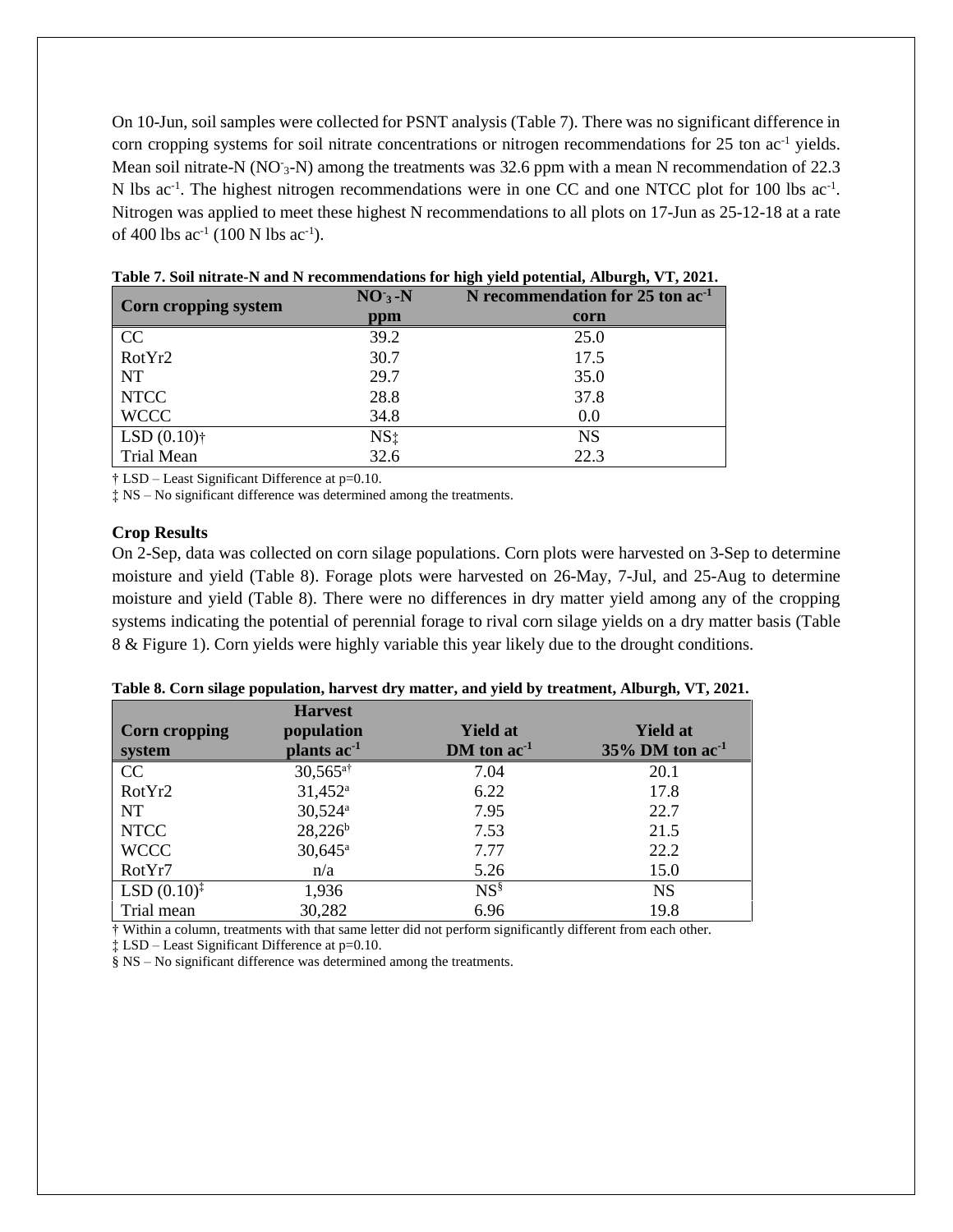On 10-Jun, soil samples were collected for PSNT analysis (Table 7). There was no significant difference in corn cropping systems for soil nitrate concentrations or nitrogen recommendations for 25 ton ac<sup>-1</sup> yields. Mean soil nitrate-N (NO<sup>-3</sup>-N) among the treatments was 32.6 ppm with a mean N recommendation of 22.3 N lbs ac<sup>-1</sup>. The highest nitrogen recommendations were in one CC and one NTCC plot for 100 lbs ac<sup>-1</sup>. Nitrogen was applied to meet these highest N recommendations to all plots on 17-Jun as 25-12-18 at a rate of 400 lbs  $ac^{-1}$  (100 N lbs  $ac^{-1}$ ).

| Corn cropping system | $NO3 - N$       | N recommendation for 25 ton ac <sup>1</sup> |
|----------------------|-----------------|---------------------------------------------|
|                      | ppm             | corn                                        |
| CC<br>RotYr2         | 39.2            | 25.0                                        |
|                      | 30.7            | 17.5                                        |
| <b>NT</b>            | 29.7            | 35.0                                        |
| <b>NTCC</b>          | 28.8            | 37.8                                        |
| <b>WCCC</b>          | 34.8            | 0.0                                         |
| $LSD(0.10)$ †        | NS <sub>1</sub> | <b>NS</b>                                   |
| Trial Mean           | 32.6            | 22.3                                        |

† LSD – Least Significant Difference at p=0.10.

‡ NS – No significant difference was determined among the treatments.

#### **Crop Results**

On 2-Sep, data was collected on corn silage populations. Corn plots were harvested on 3-Sep to determine moisture and yield (Table 8). Forage plots were harvested on 26-May, 7-Jul, and 25-Aug to determine moisture and yield (Table 8). There were no differences in dry matter yield among any of the cropping systems indicating the potential of perennial forage to rival corn silage yields on a dry matter basis (Table 8 & Figure 1). Corn yields were highly variable this year likely due to the drought conditions.

|                        | <b>Harvest</b>          |                 |                                |  |  |
|------------------------|-------------------------|-----------------|--------------------------------|--|--|
| <b>Corn cropping</b>   | population              | <b>Yield at</b> | <b>Yield at</b>                |  |  |
| system                 | plants ac <sup>-1</sup> | $DM$ ton $ac-1$ | $35\%$ DM ton ac <sup>-1</sup> |  |  |
| CC                     | $30,565$ <sup>a†</sup>  | 7.04            | 20.1                           |  |  |
| RotYr2                 | $31,452^a$              | 6.22            | 17.8                           |  |  |
| <b>NT</b>              | $30,524$ <sup>a</sup>   | 7.95            | 22.7                           |  |  |
| <b>NTCC</b>            | $28,226^b$              | 7.53            | 21.5                           |  |  |
| <b>WCCC</b>            | $30,645^{\circ}$        | 7.77            | 22.2                           |  |  |
| RotYr7                 | n/a                     | 5.26            | 15.0                           |  |  |
| $LSD(0.10)^{\ddagger}$ | 1,936                   | $NS^{\S}$       | <b>NS</b>                      |  |  |
| Trial mean             | 30,282                  | 6.96            | 19.8                           |  |  |

|  |  |  | Table 8. Corn silage population, harvest dry matter, and yield by treatment, Alburgh, VT, 2021. |  |  |
|--|--|--|-------------------------------------------------------------------------------------------------|--|--|
|  |  |  |                                                                                                 |  |  |

† Within a column, treatments with that same letter did not perform significantly different from each other.

‡ LSD – Least Significant Difference at p=0.10.

§ NS – No significant difference was determined among the treatments.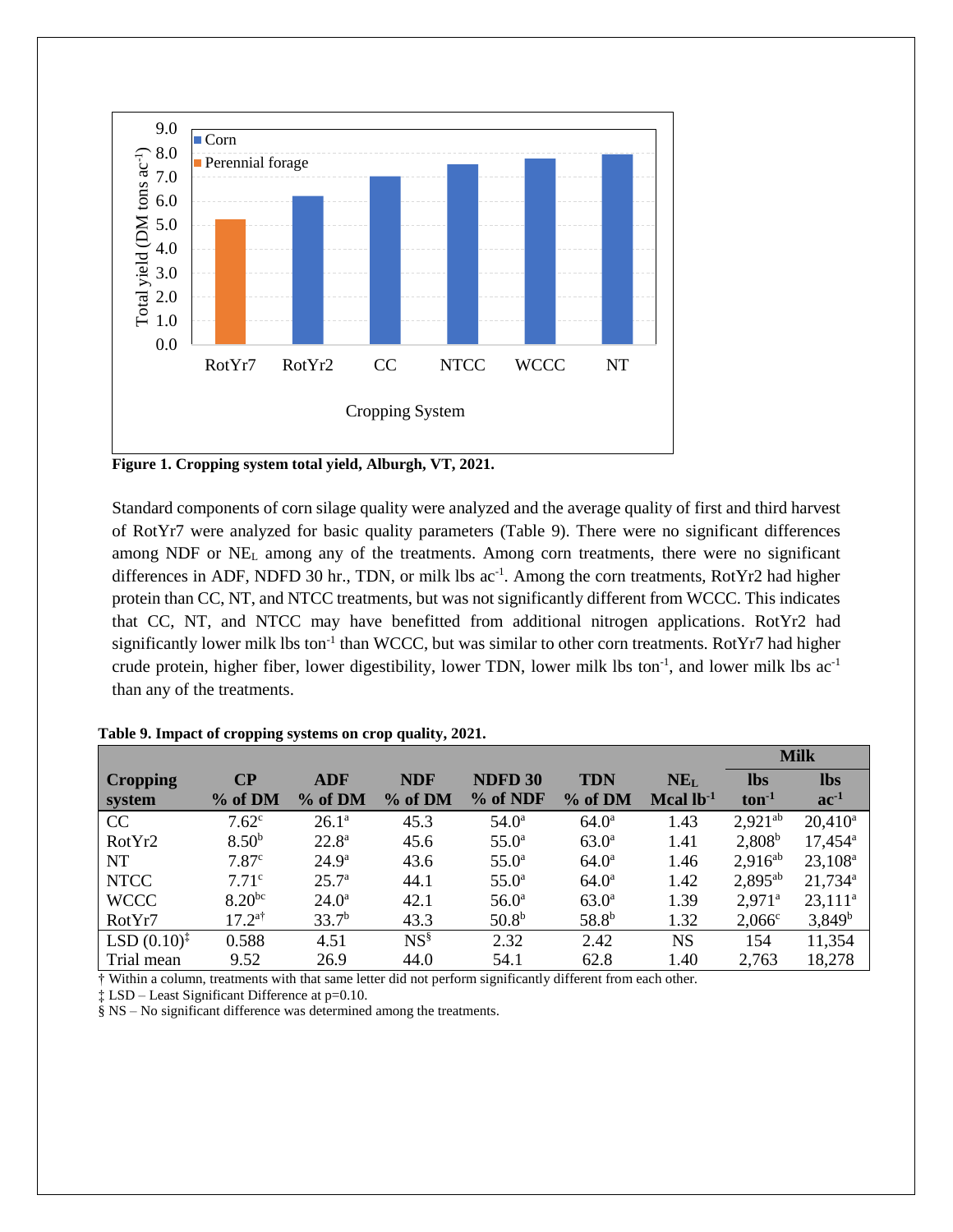

**Figure 1. Cropping system total yield, Alburgh, VT, 2021.**

Standard components of corn silage quality were analyzed and the average quality of first and third harvest of RotYr7 were analyzed for basic quality parameters (Table 9). There were no significant differences among NDF or  $NE<sub>L</sub>$  among any of the treatments. Among corn treatments, there were no significant differences in ADF, NDFD 30 hr., TDN, or milk lbs ac<sup>-1</sup>. Among the corn treatments, RotYr2 had higher protein than CC, NT, and NTCC treatments, but was not significantly different from WCCC. This indicates that CC, NT, and NTCC may have benefitted from additional nitrogen applications. RotYr2 had significantly lower milk lbs ton<sup>-1</sup> than WCCC, but was similar to other corn treatments. RotYr7 had higher crude protein, higher fiber, lower digestibility, lower TDN, lower milk lbs ton<sup>-1</sup>, and lower milk lbs ac<sup>-1</sup> than any of the treatments.

|                         |                      |                   |            |                   |                   |                 | <b>Milk</b>          |                     |  |
|-------------------------|----------------------|-------------------|------------|-------------------|-------------------|-----------------|----------------------|---------------------|--|
| <b>Cropping</b>         | $\bf CP$             | <b>ADF</b>        | <b>NDF</b> | NDFD 30           | <b>TDN</b>        | NE <sub>L</sub> | <b>lbs</b>           | <b>lbs</b>          |  |
| system                  | % of DM              | % of DM           | % of DM    | % of NDF          | % of DM           | Mcal $lb^{-1}$  | $ton-1$              | $ac^{-1}$           |  |
| CC                      | 7.62 <sup>c</sup>    | $26.1^{\rm a}$    | 45.3       | $54.0^{\rm a}$    | $64.0^{\rm a}$    | 1.43            | $2,921^{ab}$         | $20,410^a$          |  |
| RotYr2                  | 8.50 <sup>b</sup>    | $22.8^{\rm a}$    | 45.6       | $55.0^{\rm a}$    | $63.0^{\rm a}$    | 1.41            | $2,808^b$            | $17,454^{\circ}$    |  |
| NT                      | 7.87 <sup>c</sup>    | $24.9^{\rm a}$    | 43.6       | $55.0^{\rm a}$    | $64.0^{\rm a}$    | 1.46            | $2.916^{ab}$         | $23,108^a$          |  |
| <b>NTCC</b>             | 7.71 <sup>c</sup>    | 25.7 <sup>a</sup> | 44.1       | $55.0^{\rm a}$    | $64.0^{\rm a}$    | 1.42            | $2,895^{ab}$         | 21,734 <sup>a</sup> |  |
| <b>WCCC</b>             | $8.20^{bc}$          | $24.0^{\rm a}$    | 42.1       | 56.0 <sup>a</sup> | $63.0^{\rm a}$    | 1.39            | $2.971$ <sup>a</sup> | $23,111^a$          |  |
| RotYr7                  | $17.2$ <sup>a†</sup> | 33.7 <sup>b</sup> | 43.3       | 50.8 <sup>b</sup> | 58.8 <sup>b</sup> | 1.32            | $2,066^{\circ}$      | $3,849^b$           |  |
| $LSD (0.10)^{\ddagger}$ | 0.588                | 4.51              | $NS^{\S}$  | 2.32              | 2.42              | <b>NS</b>       | 154                  | 11,354              |  |
| Trial mean              | 9.52                 | 26.9              | 44.0       | 54.1              | 62.8              | 1.40            | 2,763                | 18,278              |  |

#### **Table 9. Impact of cropping systems on crop quality, 2021.**

† Within a column, treatments with that same letter did not perform significantly different from each other.

‡ LSD – Least Significant Difference at p=0.10.

§ NS – No significant difference was determined among the treatments.